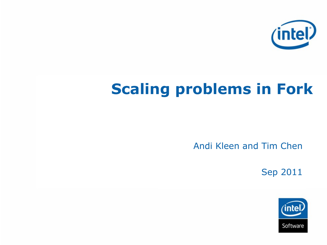

# **Scaling problems in Fork**

Andi Kleen and Tim Chen

Sep 2011

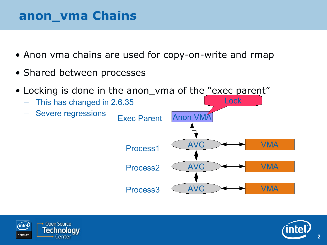#### **anon\_vma Chains**

- Anon vma chains are used for copy-on-write and rmap
- Shared between processes
- Locking is done in the anon\_vma of the "exec parent"





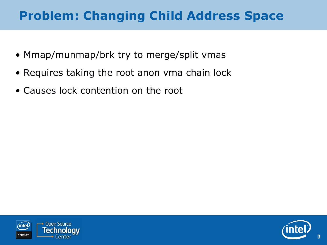# **Problem: Changing Child Address Space**

- Mmap/munmap/brk try to merge/split vmas
- Requires taking the root anon vma chain lock
- Causes lock contention on the root



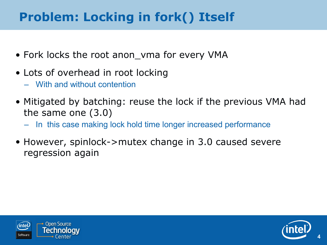# **Problem: Locking in fork() Itself**

- Fork locks the root anon\_vma for every VMA
- Lots of overhead in root locking
	- With and without contention
- Mitigated by batching: reuse the lock if the previous VMA had the same one (3.0)
	- In this case making lock hold time longer increased performance
- However, spinlock->mutex change in 3.0 caused severe regression again





**4**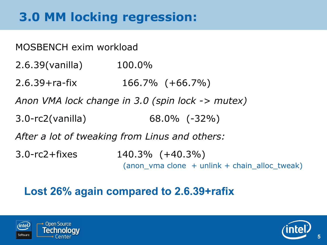# **3.0 MM locking regression:**

MOSBENCH exim workload 2.6.39(vanilla) 100.0% 2.6.39+ra-fix 166.7% (+66.7%) *Anon VMA lock change in 3.0 (spin lock -> mutex)* 3.0-rc2(vanilla) 68.0% (-32%) *After a lot of tweaking from Linus and others:* 3.0-rc2+fixes 140.3% (+40.3%) (anon vma clone + unlink + chain alloc tweak)

#### **Lost 26% again compared to 2.6.39+rafix**



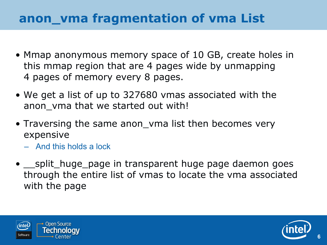## **anon\_vma fragmentation of vma List**

- Mmap anonymous memory space of 10 GB, create holes in this mmap region that are 4 pages wide by unmapping 4 pages of memory every 8 pages.
- We get a list of up to 327680 vmas associated with the anon\_vma that we started out with!
- Traversing the same anon\_vma list then becomes very expensive
	- And this holds a lock
- split\_huge\_page in transparent huge page daemon goes through the entire list of vmas to locate the vma associated with the page





**6**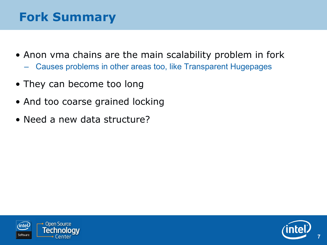# **Fork Summary**

- Anon vma chains are the main scalability problem in fork
	- Causes problems in other areas too, like Transparent Hugepages
- They can become too long
- And too coarse grained locking
- Need a new data structure?





**7**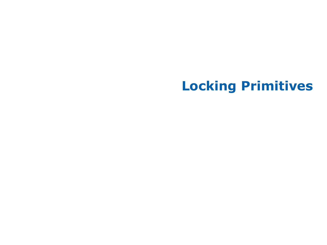# **Locking Primitives**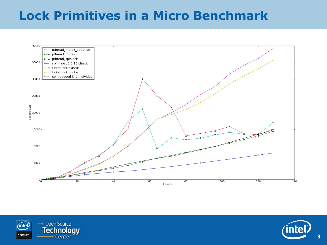#### **Lock Primitives in a Micro Benchmark**





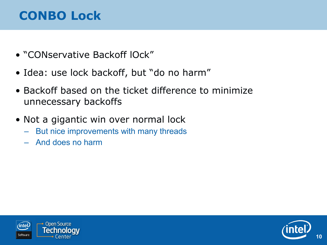# **CONBO Lock**

- "CONservative Backoff lOck"
- Idea: use lock backoff, but "do no harm"
- Backoff based on the ticket difference to minimize unnecessary backoffs
- Not a gigantic win over normal lock
	- But nice improvements with many threads
	- And does no harm



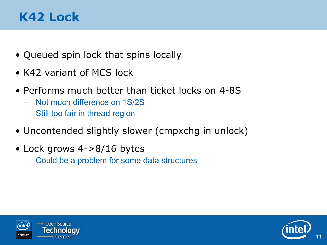### **K42 Lock**

- Queued spin lock that spins locally
- K42 variant of MCS lock
- Performs much better than ticket locks on 4-8S
	- Not much difference on 1S/2S
	- Still too fair in thread region
- Uncontended slightly slower (cmpxchg in unlock)
- Lock grows 4->8/16 bytes
	- Could be a problem for some data structures



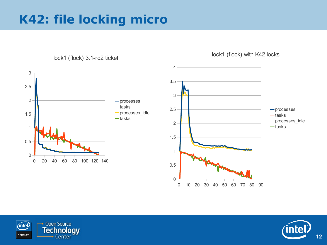# **K42: file locking micro**



lock1 (flock) 3.1-rc2 ticket



lock1 (flock) with K42 locks



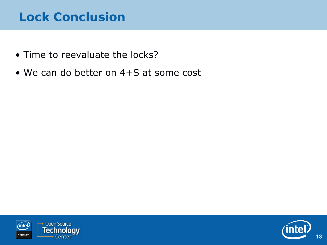# **Lock Conclusion**

- Time to reevaluate the locks?
- We can do better on 4+S at some cost



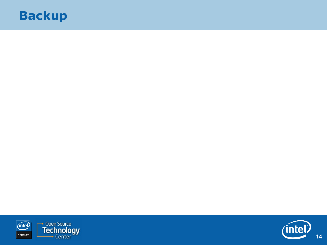#### **Backup**